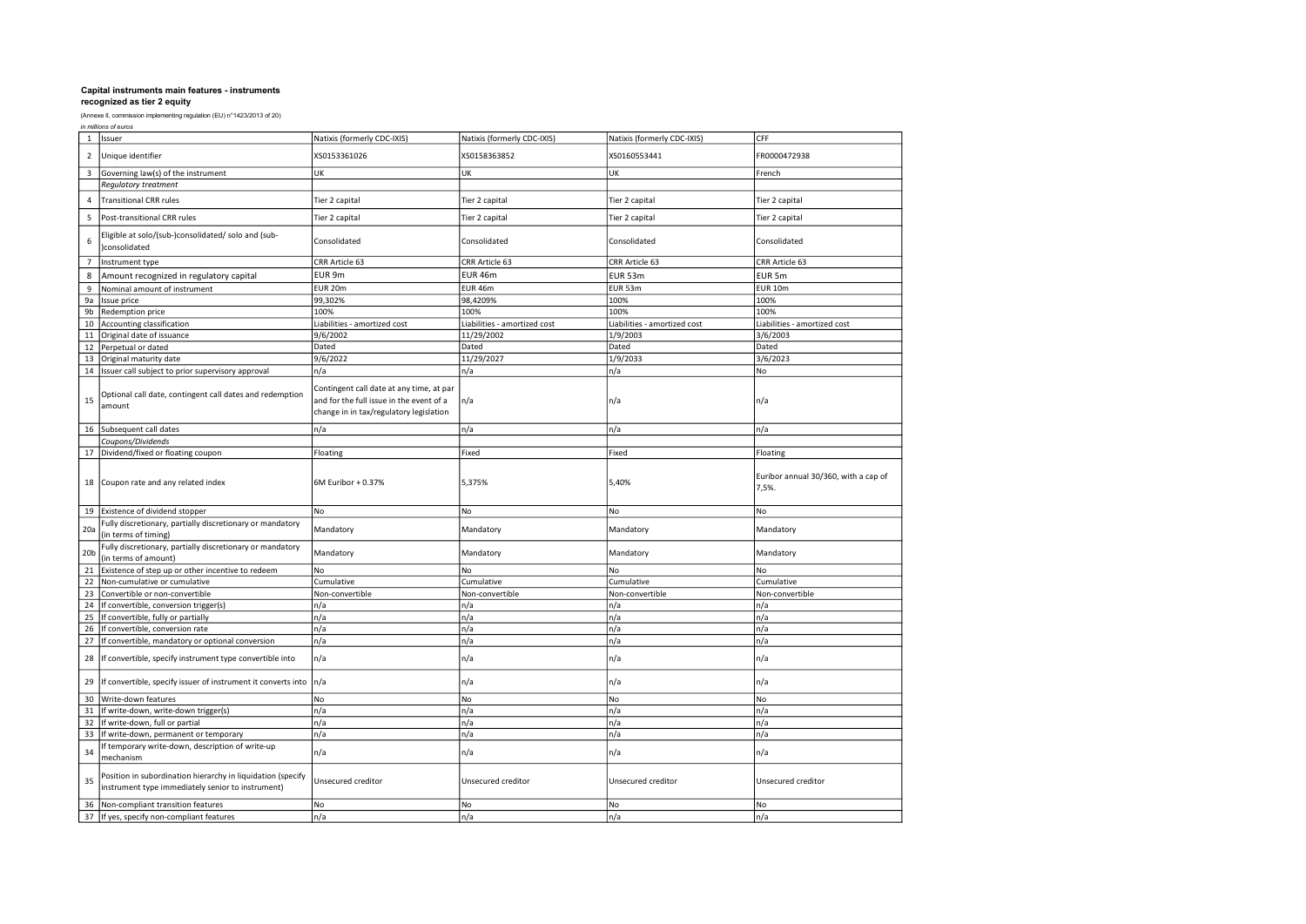|  | in millions of euros |  |  |
|--|----------------------|--|--|
|--|----------------------|--|--|

|                 | 1 Issuer                                                                                                         | Natixis (formerly CDC-IXIS)                                                                                                     | Natixis (formerly CDC-IXIS)  | Natixis (formerly CDC-IXIS)  | CFF                                           |
|-----------------|------------------------------------------------------------------------------------------------------------------|---------------------------------------------------------------------------------------------------------------------------------|------------------------------|------------------------------|-----------------------------------------------|
| $\overline{2}$  | Unique identifier                                                                                                | XS0153361026                                                                                                                    | XS0158363852                 | XS0160553441                 | FR0000472938                                  |
| 3               | Governing law(s) of the instrument                                                                               | UK                                                                                                                              | UK                           | UK                           | French                                        |
|                 | <b>Regulatory treatment</b>                                                                                      |                                                                                                                                 |                              |                              |                                               |
|                 | <b>Transitional CRR rules</b>                                                                                    | Tier 2 capital                                                                                                                  | Tier 2 capital               | Tier 2 capital               | Tier 2 capital                                |
| 5               | Post-transitional CRR rules                                                                                      | Tier 2 capital                                                                                                                  | Tier 2 capital               | Tier 2 capital               | Tier 2 capital                                |
| 6               | Eligible at solo/(sub-)consolidated/ solo and (sub-<br>)consolidated                                             | Consolidated                                                                                                                    | Consolidated                 | Consolidated                 | Consolidated                                  |
| $\overline{7}$  | Instrument type                                                                                                  | CRR Article 63                                                                                                                  | CRR Article 63               | CRR Article 63               | CRR Article 63                                |
| 8               | Amount recognized in regulatory capital                                                                          | EUR 9m                                                                                                                          | <b>EUR 46m</b>               | EUR 53m                      | EUR 5m                                        |
| $\overline{9}$  | Nominal amount of instrument                                                                                     | <b>EUR 20m</b>                                                                                                                  | EUR 46m                      | EUR 53m                      | <b>EUR 10m</b>                                |
| 9a              | Issue price                                                                                                      | 99,302%                                                                                                                         | 98,4209%                     | 100%                         | 100%                                          |
| 9b              | Redemption price                                                                                                 | 100%                                                                                                                            | 100%                         | 100%                         | 100%                                          |
| 10              | Accounting classification                                                                                        | Liabilities - amortized cost                                                                                                    | Liabilities - amortized cost | Liabilities - amortized cost | Liabilities - amortized cost                  |
| 11              | Original date of issuance                                                                                        | 9/6/2002                                                                                                                        | 11/29/2002                   | 1/9/2003                     | 3/6/2003                                      |
| 12              | Perpetual or dated                                                                                               | Dated                                                                                                                           | Dated                        | Dated                        | Dated                                         |
| 13              | Original maturity date                                                                                           | 9/6/2022                                                                                                                        | 11/29/2027                   | 1/9/2033                     | 3/6/2023                                      |
| 14              | Issuer call subject to prior supervisory approval                                                                | n/a                                                                                                                             | n/a                          | n/a                          | No                                            |
| 15              | Optional call date, contingent call dates and redemption<br>amount                                               | Contingent call date at any time, at par<br>and for the full issue in the event of a<br>change in in tax/regulatory legislation | n/a                          | n/a                          | n/a                                           |
| 16              | Subsequent call dates                                                                                            | n/a                                                                                                                             | n/a                          | n/a                          | n/a                                           |
|                 | Coupons/Dividends                                                                                                |                                                                                                                                 |                              |                              |                                               |
| 17              | Dividend/fixed or floating coupon                                                                                | Floating                                                                                                                        | Fixed                        | Fixed                        | Floating                                      |
| 18              | Coupon rate and any related index                                                                                | 6M Euribor + 0.37%                                                                                                              | 5,375%                       | 5,40%                        | Euribor annual 30/360, with a cap of<br>7,5%. |
| 19              | Existence of dividend stopper                                                                                    | No                                                                                                                              | No                           | No                           | No                                            |
| 20a             | Fully discretionary, partially discretionary or mandatory<br>(in terms of timing)                                | Mandatory                                                                                                                       | Mandatory                    | Mandatory                    | Mandatory                                     |
| 20 <sub>b</sub> | Fully discretionary, partially discretionary or mandatory<br>(in terms of amount)                                | Mandatory                                                                                                                       | Mandatory                    | Mandatory                    | Mandatory                                     |
| 21              | Existence of step up or other incentive to redeem                                                                | No                                                                                                                              | No                           | No                           | No                                            |
| 22              | Non-cumulative or cumulative                                                                                     | Cumulative                                                                                                                      | Cumulative                   | Cumulative                   | Cumulative                                    |
| 23              | Convertible or non-convertible                                                                                   | Non-convertible                                                                                                                 | Non-convertible              | Non-convertible              | Non-convertible                               |
| 24              | If convertible, conversion trigger(s)                                                                            | n/a                                                                                                                             | n/a                          | n/a                          | n/a                                           |
| 25              | If convertible, fully or partially                                                                               | n/a                                                                                                                             | n/a                          | n/a                          | n/a                                           |
| 26              | If convertible, conversion rate                                                                                  | n/a                                                                                                                             | n/a                          | n/a                          | n/a                                           |
| 27              | If convertible, mandatory or optional conversion                                                                 | n/a                                                                                                                             | n/a                          | n/a                          | n/a                                           |
| 28              | If convertible, specify instrument type convertible into                                                         | n/a                                                                                                                             | n/a                          | n/a                          | n/a                                           |
| 29              | If convertible, specify issuer of instrument it converts into                                                    | n/a                                                                                                                             | n/a                          | n/a                          | n/a                                           |
| 30              | Write-down features                                                                                              | No                                                                                                                              | No                           | No                           | No                                            |
| 31              | If write-down, write-down trigger(s)                                                                             | n/a                                                                                                                             | n/a                          | n/a                          | n/a                                           |
| 32              | If write-down, full or partial                                                                                   | n/a                                                                                                                             | n/a                          | n/a                          | n/a                                           |
| 33              | If write-down, permanent or temporary                                                                            | n/a                                                                                                                             | n/a                          | n/a                          | n/a                                           |
| 34              | If temporary write-down, description of write-up<br>mechanism                                                    | n/a                                                                                                                             | n/a                          | n/a                          | n/a                                           |
| 35              | Position in subordination hierarchy in liquidation (specify<br>instrument type immediately senior to instrument) | Unsecured creditor                                                                                                              | Unsecured creditor           | Unsecured creditor           | Unsecured creditor                            |
| 36              | Non-compliant transition features                                                                                | No                                                                                                                              | No                           | No                           | No                                            |
| 37              | If yes, specify non-compliant features                                                                           | n/a                                                                                                                             | n/a                          | n/a                          | n/a                                           |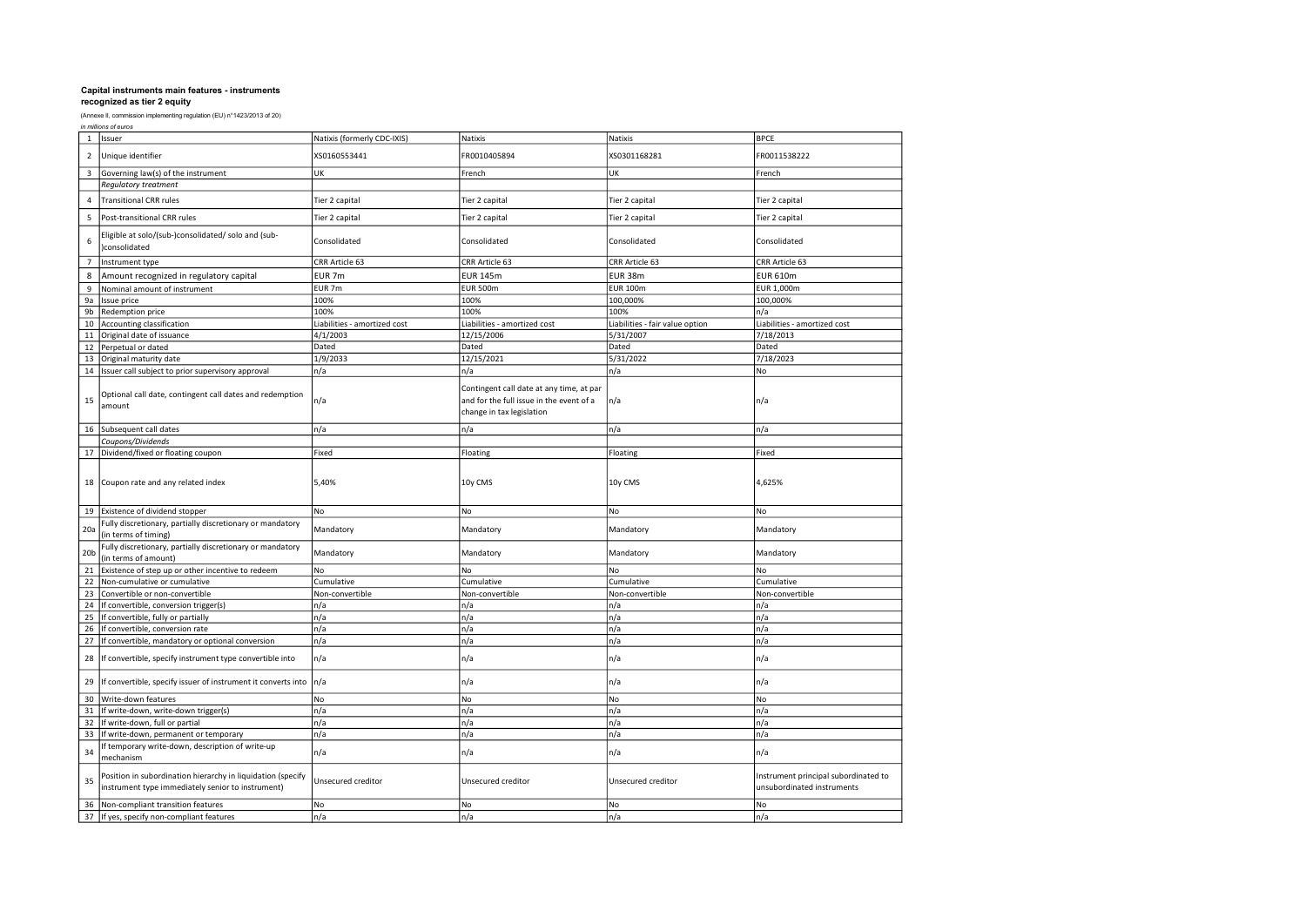| in millions of euros |  |
|----------------------|--|
|----------------------|--|

|                 | 1 Issuer                                                                                                         | Natixis (formerly CDC-IXIS)  | Natixis                                                                                                           | Natixis                         | <b>BPCE</b>                                                        |
|-----------------|------------------------------------------------------------------------------------------------------------------|------------------------------|-------------------------------------------------------------------------------------------------------------------|---------------------------------|--------------------------------------------------------------------|
| $\overline{2}$  | Unique identifier                                                                                                | XS0160553441                 | FR0010405894                                                                                                      | XS0301168281                    | FR0011538222                                                       |
| 3               | Governing law(s) of the instrument                                                                               | UK                           | French                                                                                                            | UK                              | French                                                             |
|                 | <b>Regulatory treatment</b>                                                                                      |                              |                                                                                                                   |                                 |                                                                    |
|                 | <b>Transitional CRR rules</b>                                                                                    | Tier 2 capital               | Tier 2 capital                                                                                                    | Tier 2 capital                  | Tier 2 capital                                                     |
| 5               | Post-transitional CRR rules                                                                                      | Tier 2 capital               | Tier 2 capital                                                                                                    | Tier 2 capital                  | Tier 2 capital                                                     |
| 6               | Eligible at solo/(sub-)consolidated/ solo and (sub-<br>)consolidated                                             | Consolidated                 | Consolidated                                                                                                      | Consolidated                    | Consolidated                                                       |
| $\overline{7}$  | Instrument type                                                                                                  | CRR Article 63               | CRR Article 63                                                                                                    | CRR Article 63                  | CRR Article 63                                                     |
| 8               | Amount recognized in regulatory capital                                                                          | EUR <sub>7m</sub>            | <b>EUR 145m</b>                                                                                                   | EUR 38m                         | <b>EUR 610m</b>                                                    |
| 9               | Nominal amount of instrument                                                                                     | EUR 7m                       | <b>EUR 500m</b>                                                                                                   | <b>EUR 100m</b>                 | EUR 1,000m                                                         |
| 9a              | Issue price                                                                                                      | 100%                         | 100%                                                                                                              | 100,000%                        | 100,000%                                                           |
| 9b              | Redemption price                                                                                                 | 100%                         | 100%                                                                                                              | 100%                            | n/a                                                                |
| 10              | Accounting classification                                                                                        | Liabilities - amortized cost | Liabilities - amortized cost                                                                                      | Liabilities - fair value option | Liabilities - amortized cost                                       |
| 11              | Original date of issuance                                                                                        | 4/1/2003                     | 12/15/2006                                                                                                        | 5/31/2007                       | 7/18/2013                                                          |
| 12              | Perpetual or dated                                                                                               | Dated                        | Dated                                                                                                             | Dated                           | Dated                                                              |
| 13              | Original maturity date                                                                                           | 1/9/2033                     | 12/15/2021                                                                                                        | 5/31/2022                       | 7/18/2023                                                          |
| 14              | Issuer call subject to prior supervisory approval                                                                | n/a                          | n/a                                                                                                               | n/a                             | No                                                                 |
| 15              | Optional call date, contingent call dates and redemption<br>amount                                               | n/a                          | Contingent call date at any time, at par<br>and for the full issue in the event of a<br>change in tax legislation | n/a                             | n/a                                                                |
| 16              | Subsequent call dates                                                                                            | n/a                          | n/a                                                                                                               | n/a                             | n/a                                                                |
|                 | Coupons/Dividends                                                                                                |                              |                                                                                                                   |                                 |                                                                    |
| 17              | Dividend/fixed or floating coupon                                                                                | Fixed                        | Floating                                                                                                          | Floating                        | Fixed                                                              |
| 18              | Coupon rate and any related index                                                                                | 5,40%                        | 10y CMS                                                                                                           | 10y CMS                         | 4,625%                                                             |
| 19              | Existence of dividend stopper                                                                                    | No                           | No                                                                                                                | No                              | No                                                                 |
| 20a             | Fully discretionary, partially discretionary or mandatory<br>(in terms of timing)                                | Mandatory                    | Mandatory                                                                                                         | Mandatory                       | Mandatory                                                          |
| 20 <sub>b</sub> | Fully discretionary, partially discretionary or mandatory<br>(in terms of amount)                                | Mandatory                    | Mandatory                                                                                                         | Mandatory                       | Mandatory                                                          |
| 21              | Existence of step up or other incentive to redeem                                                                | No                           | No                                                                                                                | No                              | No                                                                 |
| 22              | Non-cumulative or cumulative                                                                                     | Cumulative                   | Cumulative                                                                                                        | Cumulative                      | Cumulative                                                         |
| 23              | Convertible or non-convertible                                                                                   | Non-convertible              | Non-convertible                                                                                                   | Non-convertible                 | Non-convertible                                                    |
| 24              | If convertible, conversion trigger(s)                                                                            | n/a                          | n/a                                                                                                               | n/a                             | n/a                                                                |
| 25              | If convertible, fully or partially                                                                               | n/a                          | n/a                                                                                                               | n/a                             | n/a                                                                |
| 26              | If convertible, conversion rate                                                                                  | n/a                          | n/a                                                                                                               | n/a                             | n/a                                                                |
| 27              | If convertible, mandatory or optional conversion                                                                 | n/a                          | n/a                                                                                                               | n/a                             | n/a                                                                |
| 28              | If convertible, specify instrument type convertible into                                                         | n/a                          | n/a                                                                                                               | n/a                             | n/a                                                                |
| 29              | If convertible, specify issuer of instrument it converts into                                                    | n/a                          | n/a                                                                                                               | n/a                             | n/a                                                                |
| 30              | Write-down features                                                                                              | No                           | No                                                                                                                | No                              | No                                                                 |
| 31              | If write-down, write-down trigger(s)                                                                             | n/a                          | n/a                                                                                                               | n/a                             | n/a                                                                |
| 32              | If write-down, full or partial                                                                                   | n/a                          | n/a                                                                                                               | n/a                             | n/a                                                                |
| 33              | If write-down, permanent or temporary                                                                            | n/a                          | n/a                                                                                                               | n/a                             | n/a                                                                |
| 34              | If temporary write-down, description of write-up<br>mechanism                                                    | n/a                          | n/a                                                                                                               | n/a                             | n/a                                                                |
| 35              | Position in subordination hierarchy in liquidation (specify<br>instrument type immediately senior to instrument) | Unsecured creditor           | Unsecured creditor                                                                                                | Unsecured creditor              | Instrument principal subordinated to<br>unsubordinated instruments |
| 36              | Non-compliant transition features                                                                                | No                           | No                                                                                                                | No                              | No                                                                 |
|                 | 37 If yes, specify non-compliant features                                                                        | n/a                          | n/a                                                                                                               | n/a                             | n/a                                                                |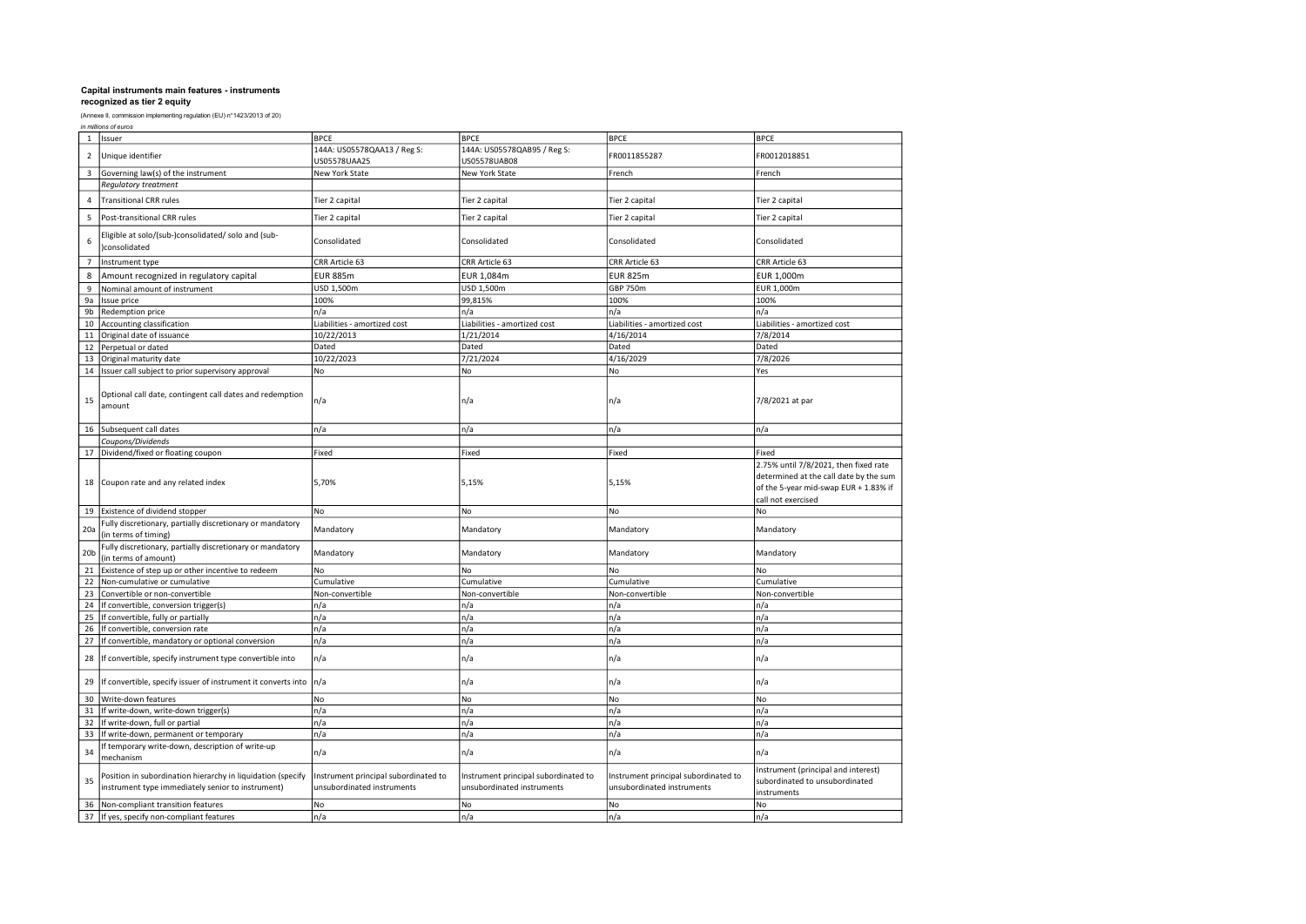| in millions of euros |  |
|----------------------|--|
|----------------------|--|

| $\mathbf{1}$            | Issuer                                                                                                           | <b>BPCE</b>                                                        | <b>BPCE</b>                                                        | <b>BPCE</b>                                                        | <b>BPCE</b>                                                                                                                                    |
|-------------------------|------------------------------------------------------------------------------------------------------------------|--------------------------------------------------------------------|--------------------------------------------------------------------|--------------------------------------------------------------------|------------------------------------------------------------------------------------------------------------------------------------------------|
| $\overline{2}$          | Unique identifier                                                                                                | 144A: US05578QAA13 / Reg S:<br>US05578UAA25                        | 144A: US05578QAB95 / Reg S:<br>US05578UAB08                        | FR0011855287                                                       | FR0012018851                                                                                                                                   |
| $\overline{\mathbf{3}}$ | Governing law(s) of the instrument                                                                               | New York State                                                     | New York State                                                     | French                                                             | French                                                                                                                                         |
|                         | Regulatory treatment                                                                                             |                                                                    |                                                                    |                                                                    |                                                                                                                                                |
| $\Delta$                | <b>Transitional CRR rules</b>                                                                                    | Tier 2 capital                                                     | Tier 2 capital                                                     | Tier 2 capital                                                     | Tier 2 capital                                                                                                                                 |
| 5                       | Post-transitional CRR rules                                                                                      | Tier 2 capital                                                     | Tier 2 capital                                                     | Tier 2 capital                                                     | Tier 2 capital                                                                                                                                 |
| 6                       | Eligible at solo/(sub-)consolidated/ solo and (sub-<br>consolidated                                              | Consolidated                                                       | Consolidated                                                       | Consolidated                                                       | Consolidated                                                                                                                                   |
| $\overline{7}$          | Instrument type                                                                                                  | CRR Article 63                                                     | CRR Article 63                                                     | CRR Article 63                                                     | CRR Article 63                                                                                                                                 |
| 8                       | Amount recognized in regulatory capital                                                                          | <b>EUR 885m</b>                                                    | EUR 1,084m                                                         | <b>EUR 825m</b>                                                    | EUR 1,000m                                                                                                                                     |
| 9                       | Nominal amount of instrument                                                                                     | USD 1,500m                                                         | USD 1,500m                                                         | GBP 750m                                                           | EUR 1,000m                                                                                                                                     |
| 9a                      | Issue price                                                                                                      | 100%                                                               | 99,815%                                                            | 100%                                                               | 100%                                                                                                                                           |
| 9b                      | Redemption price                                                                                                 | n/a                                                                | n/a                                                                | n/a                                                                | n/a                                                                                                                                            |
| 10                      | Accounting classification                                                                                        | Liabilities - amortized cost                                       | Liabilities - amortized cost                                       | Liabilities - amortized cost                                       | Liabilities - amortized cost                                                                                                                   |
| 11                      | Original date of issuance                                                                                        | 10/22/2013                                                         | 1/21/2014                                                          | 4/16/2014                                                          | 7/8/2014                                                                                                                                       |
| 12                      | Perpetual or dated                                                                                               | Dated                                                              | Dated                                                              | Dated                                                              | Dated                                                                                                                                          |
| 13                      | Original maturity date                                                                                           | 10/22/2023                                                         | 7/21/2024                                                          | 4/16/2029                                                          | 7/8/2026                                                                                                                                       |
| 14                      | Issuer call subject to prior supervisory approval                                                                | No                                                                 | No                                                                 | No                                                                 | Yes                                                                                                                                            |
|                         |                                                                                                                  |                                                                    |                                                                    |                                                                    |                                                                                                                                                |
| 15                      | Optional call date, contingent call dates and redemption<br>amount                                               | n/a                                                                | n/a                                                                | n/a                                                                | 7/8/2021 at par                                                                                                                                |
| 16                      | Subsequent call dates                                                                                            | n/a                                                                | n/a                                                                | n/a                                                                | n/a                                                                                                                                            |
|                         | Coupons/Dividends                                                                                                |                                                                    |                                                                    |                                                                    |                                                                                                                                                |
| 17                      | Dividend/fixed or floating coupon                                                                                | Fixed                                                              | Fixed                                                              | Fixed                                                              | Fixed                                                                                                                                          |
| 18                      | Coupon rate and any related index                                                                                | 5,70%                                                              | 5,15%                                                              | 5,15%                                                              | 2.75% until 7/8/2021, then fixed rate<br>determined at the call date by the sum<br>of the 5-year mid-swap EUR + 1.83% if<br>call not exercised |
| 19                      | Existence of dividend stopper                                                                                    | No.                                                                | No                                                                 | No                                                                 | No                                                                                                                                             |
| 20a                     | Fully discretionary, partially discretionary or mandatory<br>(in terms of timing)                                | Mandatory                                                          | Mandatory                                                          | Mandatory                                                          | Mandatory                                                                                                                                      |
| 20 <sub>b</sub>         | Fully discretionary, partially discretionary or mandatory<br>(in terms of amount)                                | Mandatory                                                          | Mandatory                                                          | Mandatory                                                          | Mandatory                                                                                                                                      |
| 21                      | Existence of step up or other incentive to redeem                                                                | No                                                                 | No                                                                 | No                                                                 | No                                                                                                                                             |
| 22                      | Non-cumulative or cumulative                                                                                     | Cumulative                                                         | Cumulative                                                         | Cumulative                                                         | Cumulative                                                                                                                                     |
| 23                      | Convertible or non-convertible                                                                                   | Non-convertible                                                    | Non-convertible                                                    | Non-convertible                                                    | Non-convertible                                                                                                                                |
| 24                      | If convertible, conversion trigger(s)                                                                            | n/a                                                                | n/a                                                                | n/a                                                                | n/a                                                                                                                                            |
| 25                      | If convertible, fully or partially                                                                               | n/a                                                                | n/a                                                                | n/a                                                                | n/a                                                                                                                                            |
| 26                      | If convertible, conversion rate                                                                                  | n/a                                                                | n/a                                                                | n/a                                                                | n/a                                                                                                                                            |
| 27                      | If convertible, mandatory or optional conversion                                                                 | n/a                                                                | n/a                                                                | n/a                                                                | n/a                                                                                                                                            |
| 28                      | If convertible, specify instrument type convertible into                                                         | n/a                                                                | n/a                                                                | n/a                                                                | n/a                                                                                                                                            |
| 29                      | If convertible, specify issuer of instrument it converts into                                                    | n/a                                                                | n/a                                                                | n/a                                                                | n/a                                                                                                                                            |
| 30                      | Write-down features                                                                                              | No                                                                 | No                                                                 | No                                                                 | No                                                                                                                                             |
| 31                      | If write-down, write-down trigger(s)                                                                             | n/a                                                                | n/a                                                                | n/a                                                                | n/a                                                                                                                                            |
| 32                      | If write-down, full or partial                                                                                   | n/a                                                                | n/a                                                                | n/a                                                                | n/a                                                                                                                                            |
| 33                      | If write-down, permanent or temporary                                                                            | n/a                                                                | n/a                                                                | n/a                                                                | n/a                                                                                                                                            |
| 34                      | If temporary write-down, description of write-up<br>mechanism                                                    | n/a                                                                | n/a                                                                | n/a                                                                | n/a                                                                                                                                            |
| 35                      | Position in subordination hierarchy in liquidation (specify<br>instrument type immediately senior to instrument) | Instrument principal subordinated to<br>unsubordinated instruments | Instrument principal subordinated to<br>unsubordinated instruments | Instrument principal subordinated to<br>unsubordinated instruments | Instrument (principal and interest)<br>subordinated to unsubordinated<br>instruments                                                           |
| 36                      | Non-compliant transition features                                                                                | No                                                                 | No                                                                 | No                                                                 | No                                                                                                                                             |
|                         | 37 If yes, specify non-compliant features                                                                        | n/a                                                                | n/a                                                                | n/a                                                                | n/a                                                                                                                                            |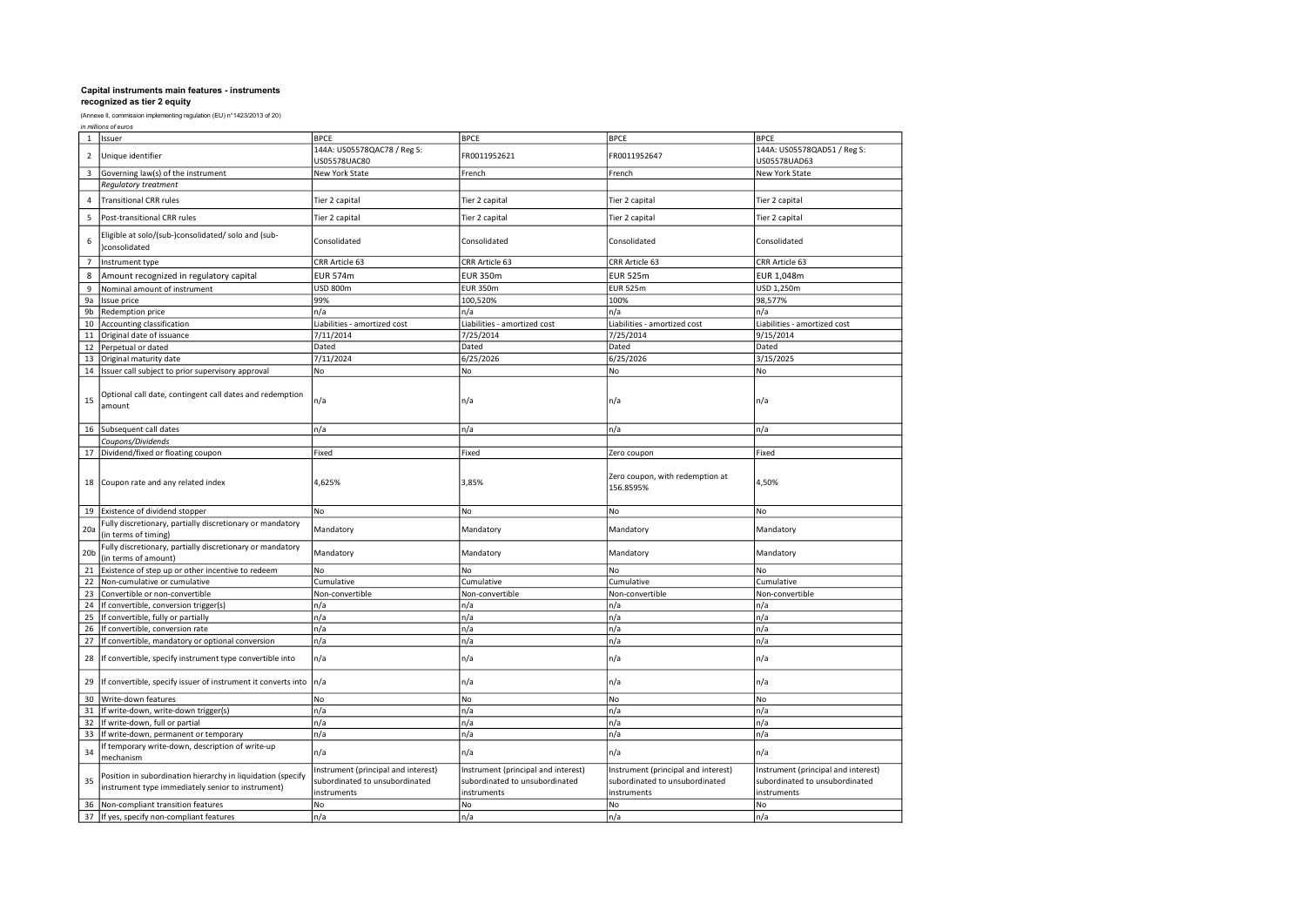| in millions of euros |  |
|----------------------|--|
|----------------------|--|

| $\mathbf{1}$    | Issuer                                                                                                           | <b>BPCE</b>                                                                          | <b>BPCE</b>                                                                          | <b>BPCE</b>                                                                          | <b>BPCE</b>                                                                          |
|-----------------|------------------------------------------------------------------------------------------------------------------|--------------------------------------------------------------------------------------|--------------------------------------------------------------------------------------|--------------------------------------------------------------------------------------|--------------------------------------------------------------------------------------|
| $\overline{2}$  | Unique identifier                                                                                                | 144A: US05578QAC78 / Reg S:<br>US05578UAC80                                          | FR0011952621                                                                         | FR0011952647                                                                         | 144A: US05578QAD51 / Reg S:<br>US05578UAD63                                          |
| 3               | Governing law(s) of the instrument                                                                               | New York State                                                                       | French                                                                               | French                                                                               | New York State                                                                       |
|                 | <b>Requlatory treatment</b>                                                                                      |                                                                                      |                                                                                      |                                                                                      |                                                                                      |
| $\overline{4}$  | <b>Transitional CRR rules</b>                                                                                    | Tier 2 capital                                                                       | Tier 2 capital                                                                       | Tier 2 capital                                                                       | Tier 2 capital                                                                       |
| 5               | Post-transitional CRR rules                                                                                      | Tier 2 capital                                                                       | Tier 2 capital                                                                       | Tier 2 capital                                                                       | Tier 2 capital                                                                       |
| 6               | Eligible at solo/(sub-)consolidated/ solo and (sub-<br>consolidated                                              | Consolidated                                                                         | Consolidated                                                                         | Consolidated                                                                         | Consolidated                                                                         |
| $\overline{7}$  | Instrument type                                                                                                  | CRR Article 63                                                                       | CRR Article 63                                                                       | CRR Article 63                                                                       | CRR Article 63                                                                       |
| 8               | Amount recognized in regulatory capital                                                                          | <b>EUR 574m</b>                                                                      | <b>EUR 350m</b>                                                                      | EUR 525m                                                                             | EUR 1,048m                                                                           |
| 9               | Nominal amount of instrument                                                                                     | USD 800m                                                                             | <b>EUR 350m</b>                                                                      | <b>EUR 525m</b>                                                                      | USD 1,250m                                                                           |
| 9a              | Issue price                                                                                                      | 99%                                                                                  | 100,520%                                                                             | 100%                                                                                 | 98,577%                                                                              |
| 9b              | Redemption price                                                                                                 | n/a                                                                                  | n/a                                                                                  | n/a                                                                                  | n/a                                                                                  |
| 10              | Accounting classification                                                                                        | Liabilities - amortized cost                                                         | Liabilities - amortized cost                                                         | Liabilities - amortized cost                                                         | Liabilities - amortized cost                                                         |
| 11              | Original date of issuance                                                                                        | 7/11/2014                                                                            | 7/25/2014                                                                            | 7/25/2014                                                                            | 9/15/2014                                                                            |
| 12              | Perpetual or dated                                                                                               | Dated                                                                                | Dated                                                                                | Dated                                                                                | Dated                                                                                |
| 13              | Original maturity date                                                                                           | 7/11/2024                                                                            | 6/25/2026                                                                            | 6/25/2026                                                                            | 3/15/2025                                                                            |
| 14              |                                                                                                                  | No                                                                                   | No                                                                                   | No                                                                                   | No                                                                                   |
|                 | Issuer call subject to prior supervisory approval                                                                |                                                                                      |                                                                                      |                                                                                      |                                                                                      |
| 15              | Optional call date, contingent call dates and redemption<br>amount                                               | n/a                                                                                  | n/a                                                                                  | n/a                                                                                  | n/a                                                                                  |
| 16              | Subsequent call dates                                                                                            | n/a                                                                                  | n/a                                                                                  | n/a                                                                                  | n/a                                                                                  |
|                 | Coupons/Dividends                                                                                                |                                                                                      |                                                                                      |                                                                                      |                                                                                      |
| 17              | Dividend/fixed or floating coupon                                                                                | Fixed                                                                                | Fixed                                                                                | Zero coupon                                                                          | Fixed                                                                                |
| 18              | Coupon rate and any related index                                                                                | 4,625%                                                                               | 3,85%                                                                                | Zero coupon, with redemption at<br>156.8595%                                         | 4,50%                                                                                |
| 19              | Existence of dividend stopper                                                                                    | No                                                                                   | No                                                                                   | No                                                                                   | No                                                                                   |
| 20a             | Fully discretionary, partially discretionary or mandatory<br>(in terms of timing)                                | Mandatory                                                                            | Mandatory                                                                            | Mandatory                                                                            | Mandatory                                                                            |
| 20 <sub>b</sub> | Fully discretionary, partially discretionary or mandatory<br>(in terms of amount)                                | Mandatory                                                                            | Mandatory                                                                            | Mandatory                                                                            | Mandatory                                                                            |
| 21              | Existence of step up or other incentive to redeem                                                                | No                                                                                   | No                                                                                   | No                                                                                   | No                                                                                   |
| 22              | Non-cumulative or cumulative                                                                                     | Cumulative                                                                           | Cumulative                                                                           | Cumulative                                                                           | Cumulative                                                                           |
| 23              | Convertible or non-convertible                                                                                   | Non-convertible                                                                      | Non-convertible                                                                      | Non-convertible                                                                      | Non-convertible                                                                      |
| 24              | If convertible, conversion trigger(s)                                                                            | n/a                                                                                  | n/a                                                                                  | n/a                                                                                  | n/a                                                                                  |
| 25              | If convertible, fully or partially                                                                               | n/a                                                                                  | n/a                                                                                  | n/a                                                                                  | n/a                                                                                  |
| 26              | If convertible, conversion rate                                                                                  | n/a                                                                                  | n/a                                                                                  | n/a                                                                                  | n/a                                                                                  |
| 27              | If convertible, mandatory or optional conversion                                                                 | n/a                                                                                  | n/a                                                                                  | n/a                                                                                  | n/a                                                                                  |
| 28              | If convertible, specify instrument type convertible into                                                         | n/a                                                                                  | n/a                                                                                  | n/a                                                                                  | n/a                                                                                  |
| 29              | If convertible, specify issuer of instrument it converts into                                                    | n/a                                                                                  | n/a                                                                                  | n/a                                                                                  | n/a                                                                                  |
| 30              | Write-down features                                                                                              | No                                                                                   | No                                                                                   | No                                                                                   | No                                                                                   |
| 31              | If write-down, write-down trigger(s)                                                                             | n/a                                                                                  | n/a                                                                                  | n/a                                                                                  | n/a                                                                                  |
| 32              | If write-down, full or partial                                                                                   | n/a                                                                                  | n/a                                                                                  | n/a                                                                                  | n/a                                                                                  |
| 33              | If write-down, permanent or temporary                                                                            | n/a                                                                                  | n/a                                                                                  | n/a                                                                                  | n/a                                                                                  |
| 34              | If temporary write-down, description of write-up<br>mechanism                                                    | n/a                                                                                  | n/a                                                                                  | n/a                                                                                  | n/a                                                                                  |
| 35              | Position in subordination hierarchy in liquidation (specify<br>instrument type immediately senior to instrument) | Instrument (principal and interest)<br>subordinated to unsubordinated<br>instruments | Instrument (principal and interest)<br>subordinated to unsubordinated<br>instruments | Instrument (principal and interest)<br>subordinated to unsubordinated<br>instruments | Instrument (principal and interest)<br>subordinated to unsubordinated<br>instruments |
| 36              | Non-compliant transition features                                                                                | No                                                                                   | No                                                                                   | No                                                                                   | No                                                                                   |
| 37              | If yes, specify non-compliant features                                                                           | n/a                                                                                  | n/a                                                                                  | n/a                                                                                  | n/a                                                                                  |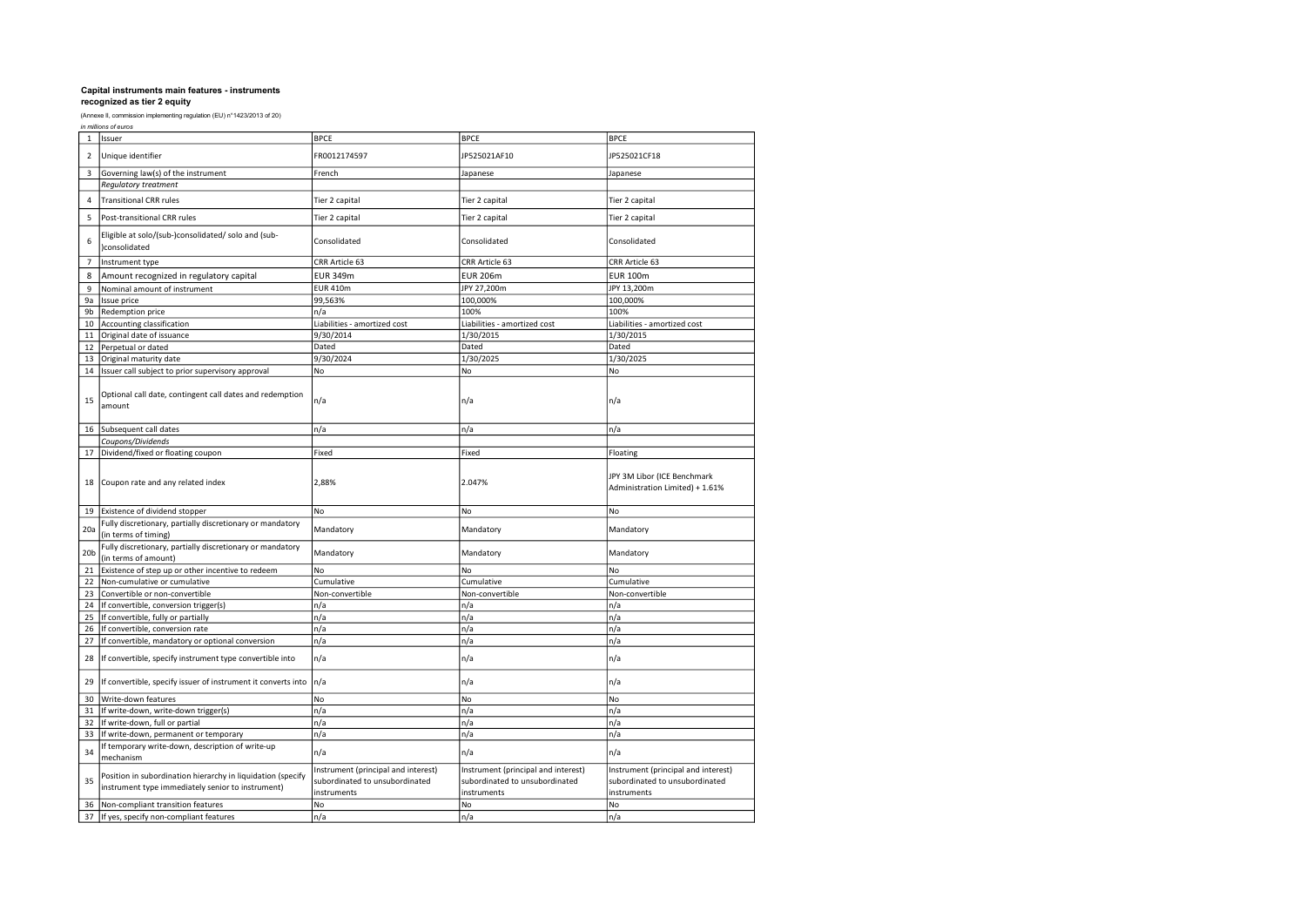|  |  |  | in millions of euros |
|--|--|--|----------------------|
|--|--|--|----------------------|

|                 | ,,,,,,,,,,,,,,,,,,,,,,,,,,,                                                                                      |                                                                                      |                                                                                      |                                                                                      |
|-----------------|------------------------------------------------------------------------------------------------------------------|--------------------------------------------------------------------------------------|--------------------------------------------------------------------------------------|--------------------------------------------------------------------------------------|
| $\mathbf{1}$    | Issuer                                                                                                           | <b>BPCE</b>                                                                          | <b>BPCE</b>                                                                          | <b>BPCE</b>                                                                          |
| $\overline{2}$  | Unique identifier                                                                                                | FR0012174597                                                                         | IP525021AF10                                                                         | JP525021CF18                                                                         |
| $\overline{3}$  | Governing law(s) of the instrument                                                                               | French                                                                               | lapanese                                                                             | Japanese                                                                             |
|                 | Regulatory treatment                                                                                             |                                                                                      |                                                                                      |                                                                                      |
| $\overline{4}$  | <b>Transitional CRR rules</b>                                                                                    | Tier 2 capital                                                                       | Tier 2 capital                                                                       | Tier 2 capital                                                                       |
| 5               | Post-transitional CRR rules                                                                                      | Tier 2 capital                                                                       | Tier 2 capital                                                                       | Tier 2 capital                                                                       |
| 6               | Eligible at solo/(sub-)consolidated/ solo and (sub-<br>)consolidated                                             | Consolidated                                                                         | Consolidated                                                                         | Consolidated                                                                         |
| $\overline{7}$  | Instrument type                                                                                                  | CRR Article 63                                                                       | CRR Article 63                                                                       | CRR Article 63                                                                       |
| 8               | Amount recognized in regulatory capital                                                                          | <b>EUR 349m</b>                                                                      | <b>EUR 206m</b>                                                                      | <b>EUR 100m</b>                                                                      |
| 9               | Nominal amount of instrument                                                                                     | <b>EUR 410m</b>                                                                      | JPY 27,200m                                                                          | JPY 13,200m                                                                          |
| 9a              | Issue price                                                                                                      | 99,563%                                                                              | 100,000%                                                                             | 100,000%                                                                             |
| 9b              | Redemption price                                                                                                 | n/a                                                                                  | 100%                                                                                 | 100%                                                                                 |
| 10              | Accounting classification                                                                                        | Liabilities - amortized cost                                                         | Liabilities - amortized cost                                                         | Liabilities - amortized cost                                                         |
| 11              | Original date of issuance                                                                                        | 9/30/2014                                                                            | 1/30/2015                                                                            | 1/30/2015                                                                            |
| 12              | Perpetual or dated                                                                                               | Dated                                                                                | Dated                                                                                | Dated                                                                                |
| 13              | Original maturity date                                                                                           | 9/30/2024                                                                            | 1/30/2025                                                                            | 1/30/2025                                                                            |
| 14              | Issuer call subject to prior supervisory approval                                                                | No                                                                                   | No                                                                                   | No                                                                                   |
| 15              | Optional call date, contingent call dates and redemption<br>amount                                               | n/a                                                                                  | n/a                                                                                  | n/a                                                                                  |
| 16              | Subsequent call dates                                                                                            | n/a                                                                                  | n/a                                                                                  | n/a                                                                                  |
|                 | Coupons/Dividends                                                                                                |                                                                                      |                                                                                      |                                                                                      |
| 17              | Dividend/fixed or floating coupon                                                                                | Fixed                                                                                | Fixed                                                                                | Floating                                                                             |
| 18              | Coupon rate and any related index                                                                                | 2,88%                                                                                | 2.047%                                                                               | JPY 3M Libor (ICE Benchmark<br>Administration Limited) + 1.61%                       |
| 19              | Existence of dividend stopper                                                                                    | No                                                                                   | No                                                                                   | No                                                                                   |
| 20a             | Fully discretionary, partially discretionary or mandatory<br>(in terms of timing)                                | Mandatory                                                                            | Mandatory                                                                            | Mandatory                                                                            |
| 20 <sub>b</sub> | Fully discretionary, partially discretionary or mandatory<br>(in terms of amount)                                | Mandatory                                                                            | Mandatory                                                                            | Mandatory                                                                            |
| 21              | Existence of step up or other incentive to redeem                                                                | No                                                                                   | No                                                                                   | N <sub>o</sub>                                                                       |
| 22              | Non-cumulative or cumulative                                                                                     | Cumulative                                                                           | Cumulative                                                                           | Cumulative                                                                           |
| 23              | Convertible or non-convertible                                                                                   | Non-convertible                                                                      | Non-convertible                                                                      | Non-convertible                                                                      |
| 24              | If convertible, conversion trigger(s)                                                                            | n/a                                                                                  | n/a                                                                                  | n/a                                                                                  |
| 25              | If convertible, fully or partially                                                                               | n/a                                                                                  | n/a                                                                                  | n/a                                                                                  |
| 26              | If convertible, conversion rate                                                                                  | n/a                                                                                  | n/a                                                                                  | n/a                                                                                  |
| 27              | If convertible, mandatory or optional conversion                                                                 | n/a                                                                                  | n/a                                                                                  | n/a                                                                                  |
| 28              | If convertible, specify instrument type convertible into                                                         | n/a                                                                                  | n/a                                                                                  | n/a                                                                                  |
| 29              | If convertible, specify issuer of instrument it converts into                                                    | n/a                                                                                  | n/a                                                                                  | n/a                                                                                  |
| 30              | Write-down features                                                                                              | No                                                                                   | No                                                                                   | No                                                                                   |
| 31              | If write-down, write-down trigger(s)                                                                             | n/a                                                                                  | n/a                                                                                  | n/a                                                                                  |
| 32              | If write-down, full or partial                                                                                   | n/a                                                                                  | n/a                                                                                  | n/a                                                                                  |
| 33              | If write-down, permanent or temporary                                                                            | n/a                                                                                  | n/a                                                                                  | n/a                                                                                  |
| 34              | If temporary write-down, description of write-up<br>mechanism                                                    | n/a                                                                                  | n/a                                                                                  | n/a                                                                                  |
| 35              | Position in subordination hierarchy in liquidation (specify<br>instrument type immediately senior to instrument) | Instrument (principal and interest)<br>subordinated to unsubordinated<br>instruments | Instrument (principal and interest)<br>subordinated to unsubordinated<br>instruments | Instrument (principal and interest)<br>subordinated to unsubordinated<br>instruments |
| 36              | Non-compliant transition features                                                                                | No                                                                                   | No                                                                                   | No                                                                                   |
| 37              | If yes, specify non-compliant features                                                                           | n/a                                                                                  | n/a                                                                                  | n/a                                                                                  |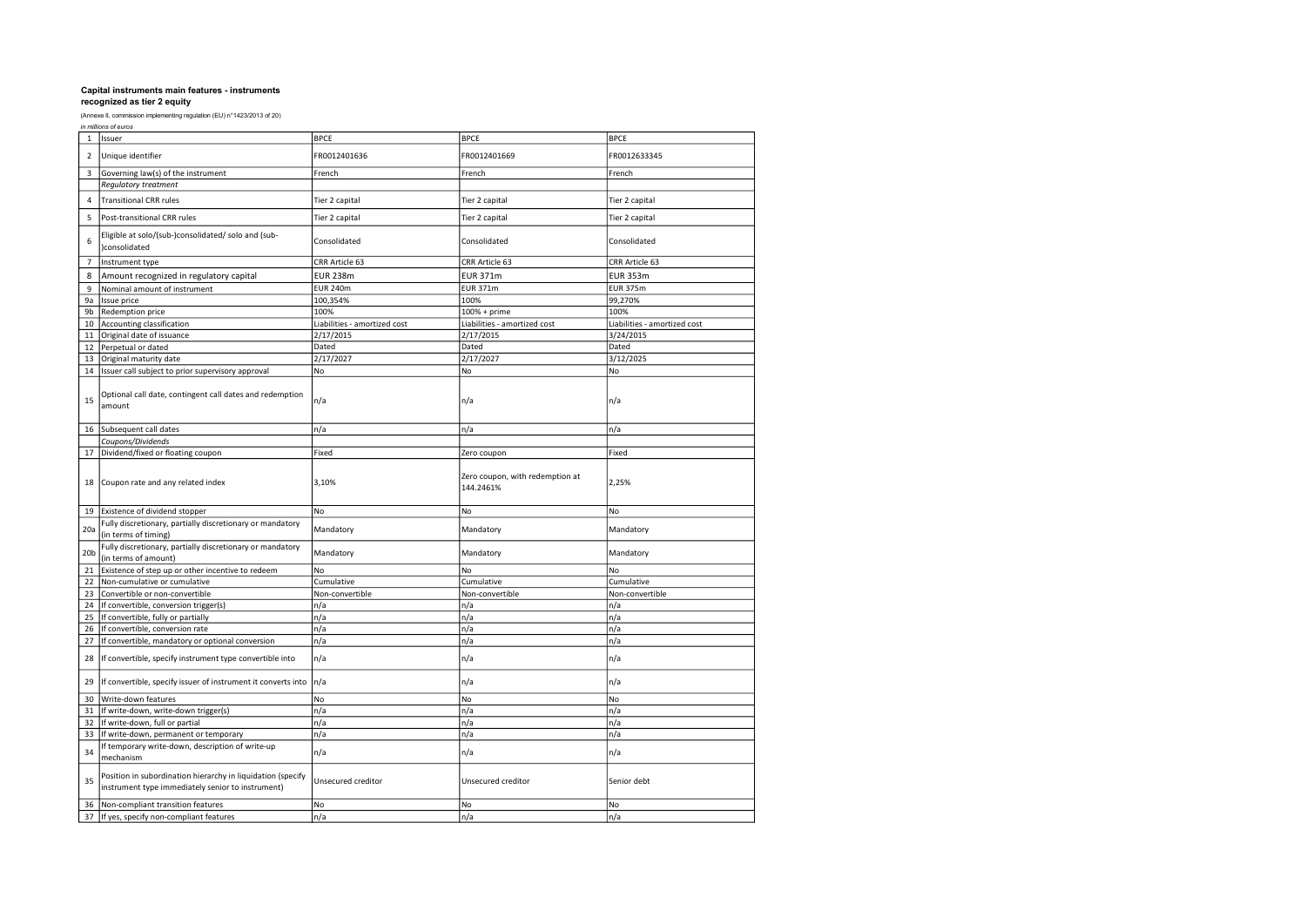| in millions of euros |  |
|----------------------|--|
|----------------------|--|

|                 | ,,,,,,,,,,,,,,,,,,,,,,,,,,,                                                                                      |                              |                                              |                              |
|-----------------|------------------------------------------------------------------------------------------------------------------|------------------------------|----------------------------------------------|------------------------------|
| $\mathbf{1}$    | Issuer                                                                                                           | <b>BPCE</b>                  | <b>BPCE</b>                                  | <b>BPCE</b>                  |
| $\overline{2}$  | Unique identifier                                                                                                | FR0012401636                 | FR0012401669                                 | FR0012633345                 |
| $\overline{3}$  | Governing law(s) of the instrument                                                                               | French                       | French                                       | French                       |
|                 | Regulatory treatment                                                                                             |                              |                                              |                              |
| $\overline{4}$  | <b>Transitional CRR rules</b>                                                                                    | Tier 2 capital               | Tier 2 capital                               | Tier 2 capital               |
| 5               | Post-transitional CRR rules                                                                                      | Tier 2 capital               | Tier 2 capital                               | Tier 2 capital               |
| 6               | Eligible at solo/(sub-)consolidated/ solo and (sub-<br>)consolidated                                             | Consolidated                 | Consolidated                                 | Consolidated                 |
| $\overline{7}$  | Instrument type                                                                                                  | CRR Article 63               | CRR Article 63                               | CRR Article 63               |
| 8               | Amount recognized in regulatory capital                                                                          | <b>EUR 238m</b>              | <b>EUR 371m</b>                              | <b>EUR 353m</b>              |
| 9               | Nominal amount of instrument                                                                                     | <b>EUR 240m</b>              | <b>EUR 371m</b>                              | <b>EUR 375m</b>              |
| 9a              | Issue price                                                                                                      | 100,354%                     | 100%                                         | 99,270%                      |
| 9b              | Redemption price                                                                                                 | 100%                         | $100% + prime$                               | 100%                         |
| 10              | Accounting classification                                                                                        | Liabilities - amortized cost | Liabilities - amortized cost                 | Liabilities - amortized cost |
| 11              | Original date of issuance                                                                                        | 2/17/2015                    | 2/17/2015                                    | 3/24/2015                    |
| 12              | Perpetual or dated                                                                                               | Dated                        | Dated                                        | Dated                        |
| 13              | Original maturity date                                                                                           | 2/17/2027                    | 2/17/2027                                    | 3/12/2025                    |
| 14              | Issuer call subject to prior supervisory approval                                                                | No                           | No                                           | No                           |
| 15              | Optional call date, contingent call dates and redemption<br>amount                                               | n/a                          | n/a                                          | n/a                          |
| 16              | Subsequent call dates                                                                                            | n/a                          | n/a                                          | n/a                          |
|                 | Coupons/Dividends                                                                                                |                              |                                              |                              |
| 17              | Dividend/fixed or floating coupon                                                                                | Fixed                        | Zero coupon                                  | Fixed                        |
| 18              | Coupon rate and any related index                                                                                | 3,10%                        | Zero coupon, with redemption at<br>144.2461% | 2,25%                        |
| 19              | Existence of dividend stopper                                                                                    | No                           | No                                           | No                           |
| 20a             | Fully discretionary, partially discretionary or mandatory<br>(in terms of timing)                                | Mandatory                    | Mandatory                                    | Mandatory                    |
| 20 <sub>b</sub> | Fully discretionary, partially discretionary or mandatory<br>(in terms of amount)                                | Mandatory                    | Mandatory                                    | Mandatory                    |
| 21              | Existence of step up or other incentive to redeem                                                                | No                           | No                                           | No                           |
| 22              | Non-cumulative or cumulative                                                                                     | Cumulative                   | Cumulative                                   | Cumulative                   |
| 23              | Convertible or non-convertible                                                                                   | Non-convertible              | Non-convertible                              | Non-convertible              |
| 24              | If convertible, conversion trigger(s)                                                                            | n/a                          | n/a                                          | n/a                          |
| 25              | If convertible, fully or partially                                                                               | n/a                          | n/a                                          | n/a                          |
| 26              | If convertible, conversion rate                                                                                  | n/a                          | n/a                                          | n/a                          |
| 27              | If convertible, mandatory or optional conversion                                                                 | n/a                          | n/a                                          | n/a                          |
| 28              | If convertible, specify instrument type convertible into                                                         | n/a                          | n/a                                          | n/a                          |
| 29              | If convertible, specify issuer of instrument it converts into                                                    | n/a                          | n/a                                          | n/a                          |
| 30              | Write-down features                                                                                              | No                           | No                                           | No                           |
| 31              | If write-down, write-down trigger(s)                                                                             | n/a                          | n/a                                          | n/a                          |
| 32              | If write-down, full or partial                                                                                   | n/a                          | n/a                                          | n/a                          |
| 33              | If write-down, permanent or temporary                                                                            | n/a                          | n/a                                          | n/a                          |
| 34              | If temporary write-down, description of write-up<br>mechanism                                                    | n/a                          | n/a                                          | n/a                          |
| 35              | Position in subordination hierarchy in liquidation (specify<br>instrument type immediately senior to instrument) | Unsecured creditor           | Unsecured creditor                           | Senior debt                  |
| 36              | Non-compliant transition features                                                                                | No                           | No                                           | No                           |
| 37              | If yes, specify non-compliant features                                                                           | n/a                          | n/a                                          | n/a                          |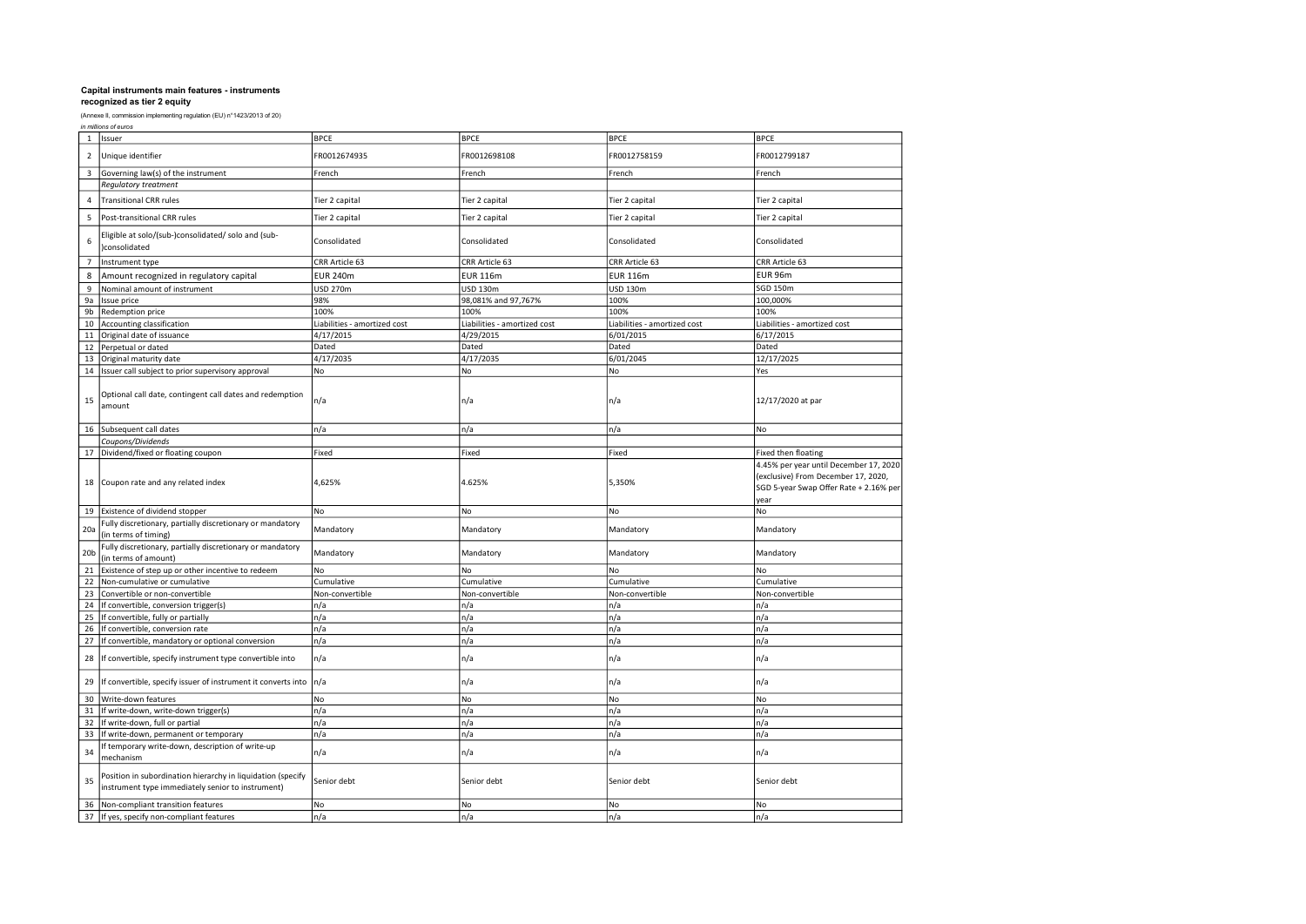| in millions of euros |  |
|----------------------|--|
|----------------------|--|

| $\mathbf{1}$    | Issuer                                                                                                           | <b>BPCE</b>                  | <b>BPCE</b>                  | <b>BPCE</b>                  | <b>BPCE</b>                                                                                                                     |
|-----------------|------------------------------------------------------------------------------------------------------------------|------------------------------|------------------------------|------------------------------|---------------------------------------------------------------------------------------------------------------------------------|
| $\overline{2}$  | Unique identifier                                                                                                | FR0012674935                 | FR0012698108                 | FR0012758159                 | FR0012799187                                                                                                                    |
| 3               | Governing law(s) of the instrument                                                                               | French                       | French                       | French                       | French                                                                                                                          |
|                 | <b>Requlatory treatment</b>                                                                                      |                              |                              |                              |                                                                                                                                 |
| $\overline{4}$  | <b>Transitional CRR rules</b>                                                                                    | Tier 2 capital               | Tier 2 capital               | Tier 2 capital               | Tier 2 capital                                                                                                                  |
| 5               | Post-transitional CRR rules                                                                                      | Tier 2 capital               | Tier 2 capital               | Tier 2 capital               | Tier 2 capital                                                                                                                  |
| 6               | Eligible at solo/(sub-)consolidated/ solo and (sub-<br>consolidated                                              | Consolidated                 | Consolidated                 | Consolidated                 | Consolidated                                                                                                                    |
| $\overline{7}$  | Instrument type                                                                                                  | CRR Article 63               | CRR Article 63               | CRR Article 63               | CRR Article 63                                                                                                                  |
| 8               | Amount recognized in regulatory capital                                                                          | <b>EUR 240m</b>              | <b>EUR 116m</b>              | <b>EUR 116m</b>              | EUR 96m                                                                                                                         |
| 9               | Nominal amount of instrument                                                                                     | <b>USD 270m</b>              | <b>USD 130m</b>              | <b>USD 130m</b>              | SGD 150m                                                                                                                        |
| 9a              | Issue price                                                                                                      | 98%                          | 98,081% and 97,767%          | 100%                         | 100,000%                                                                                                                        |
| 9b              | Redemption price                                                                                                 | 100%                         | 100%                         | 100%                         | 100%                                                                                                                            |
| 10              | Accounting classification                                                                                        | Liabilities - amortized cost | Liabilities - amortized cost | Liabilities - amortized cost | Liabilities - amortized cost                                                                                                    |
| 11              | Original date of issuance                                                                                        | 4/17/2015                    | 4/29/2015                    | 6/01/2015                    | 6/17/2015                                                                                                                       |
| 12              | Perpetual or dated                                                                                               | Dated                        | Dated                        | Dated                        | Dated                                                                                                                           |
| 13              | Original maturity date                                                                                           | 4/17/2035                    | 4/17/2035                    | 6/01/2045                    | 12/17/2025                                                                                                                      |
| 14              | Issuer call subject to prior supervisory approval                                                                | No                           | No                           | No                           | Yes                                                                                                                             |
| 15              | Optional call date, contingent call dates and redemption<br>amount                                               | n/a                          | n/a                          | n/a                          | 12/17/2020 at par                                                                                                               |
| 16              | Subsequent call dates                                                                                            | n/a                          | n/a                          | n/a                          | <b>No</b>                                                                                                                       |
|                 | Coupons/Dividends                                                                                                |                              |                              |                              |                                                                                                                                 |
| 17              | Dividend/fixed or floating coupon                                                                                | Fixed                        | Fixed                        | Fixed                        | Fixed then floating                                                                                                             |
| 18              | Coupon rate and any related index                                                                                | 4,625%                       | 4.625%                       | 5,350%                       | 4.45% per year until December 17, 2020<br>(exclusive) From December 17, 2020,<br>SGD 5-year Swap Offer Rate + 2.16% per<br>year |
| 19              | Existence of dividend stopper                                                                                    | No                           | No                           | No                           | No                                                                                                                              |
| 20a             | Fully discretionary, partially discretionary or mandatory<br>(in terms of timing)                                | Mandatory                    | Mandatory                    | Mandatory                    | Mandatory                                                                                                                       |
| 20 <sub>b</sub> | Fully discretionary, partially discretionary or mandatory<br>(in terms of amount)                                | Mandatory                    | Mandatory                    | Mandatory                    | Mandatory                                                                                                                       |
| 21              | Existence of step up or other incentive to redeem                                                                | No                           | No                           | No                           | No                                                                                                                              |
| 22              | Non-cumulative or cumulative                                                                                     | Cumulative                   | Cumulative                   | Cumulative                   | Cumulative                                                                                                                      |
| 23              | Convertible or non-convertible                                                                                   | Non-convertible              | Non-convertible              | Non-convertible              | Non-convertible                                                                                                                 |
| 24              | If convertible, conversion trigger(s)                                                                            | n/a                          | n/a                          | n/a                          | n/a                                                                                                                             |
| 25              | If convertible, fully or partially                                                                               | n/a                          | n/a                          | n/a                          | n/a                                                                                                                             |
| 26              | If convertible, conversion rate                                                                                  | n/a                          | n/a                          | n/a                          | n/a                                                                                                                             |
| 27              | If convertible, mandatory or optional conversion                                                                 | n/a                          | n/a                          | n/a                          | n/a                                                                                                                             |
| 28              | If convertible, specify instrument type convertible into                                                         | n/a                          | n/a                          | n/a                          | n/a                                                                                                                             |
| 29              | If convertible, specify issuer of instrument it converts into                                                    | n/a                          | n/a                          | n/a                          | n/a                                                                                                                             |
| 30              | Write-down features                                                                                              | No                           | No                           | No                           | No                                                                                                                              |
| 31              | If write-down, write-down trigger(s)                                                                             | n/a                          | n/a                          | n/a                          | n/a                                                                                                                             |
| 32              | If write-down, full or partial                                                                                   | n/a                          | n/a                          | n/a                          | n/a                                                                                                                             |
| 33              | If write-down, permanent or temporary                                                                            | n/a                          | n/a                          | n/a                          | n/a                                                                                                                             |
| 34              | If temporary write-down, description of write-up<br>mechanism                                                    | n/a                          | n/a                          | n/a                          | n/a                                                                                                                             |
| 35              | Position in subordination hierarchy in liquidation (specify<br>instrument type immediately senior to instrument) | Senior debt                  | Senior debt                  | Senior debt                  | Senior debt                                                                                                                     |
| 36              | Non-compliant transition features                                                                                | No                           | No                           | No                           | No                                                                                                                              |
| 37              | If yes, specify non-compliant features                                                                           | n/a                          | n/a                          | n/a                          | n/a                                                                                                                             |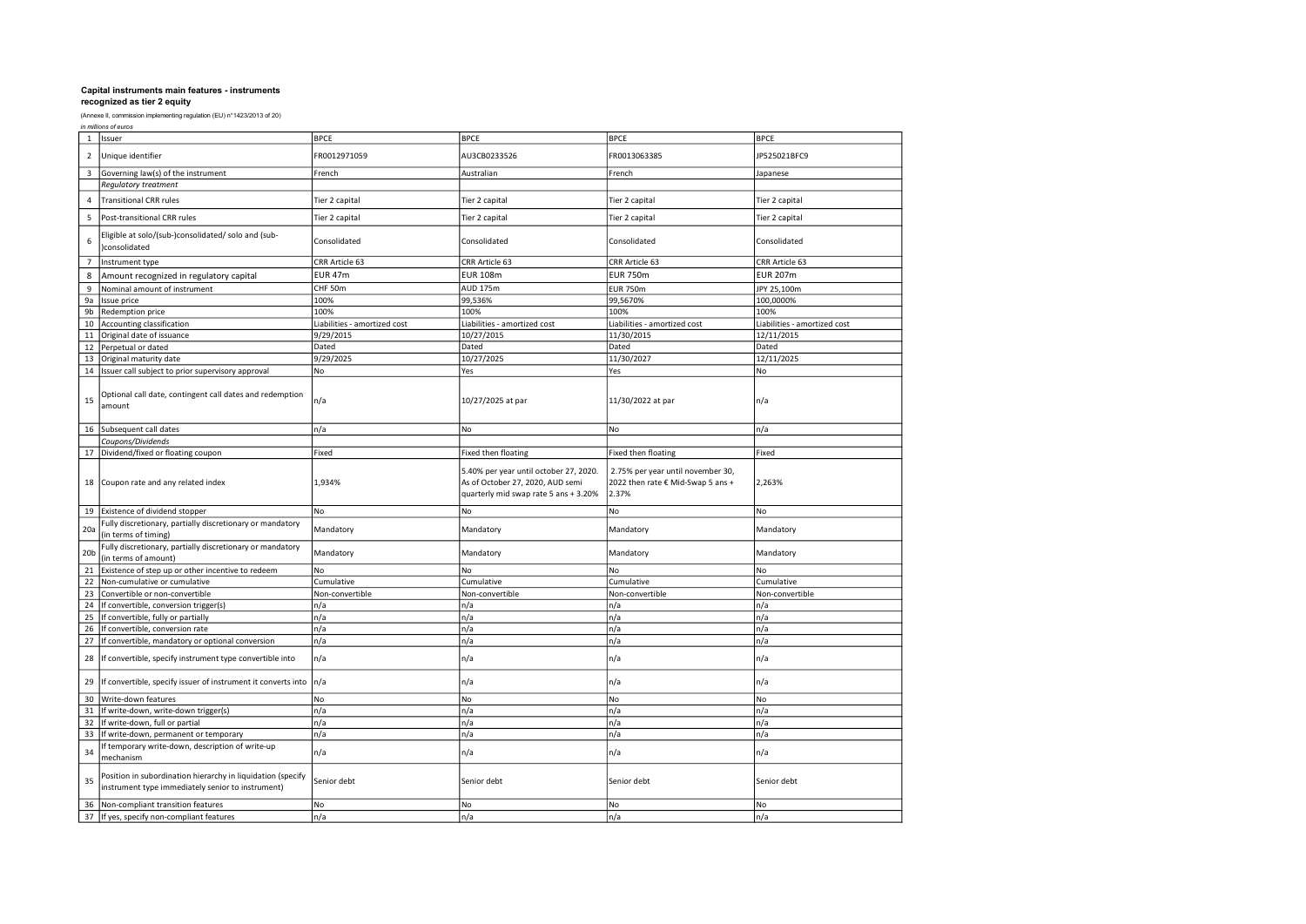|  | in millions of euros |  |
|--|----------------------|--|
|--|----------------------|--|

| $\mathbf{1}$    | Issuer                                                                                                           | <b>BPCE</b>                  | <b>BPCE</b>                                                                                                         | <b>BPCE</b>                                                                     | <b>BPCE</b>                  |
|-----------------|------------------------------------------------------------------------------------------------------------------|------------------------------|---------------------------------------------------------------------------------------------------------------------|---------------------------------------------------------------------------------|------------------------------|
| $\overline{2}$  | Unique identifier                                                                                                | FR0012971059                 | AU3CB0233526                                                                                                        | FR0013063385                                                                    | JP525021BFC9                 |
| 3               | Governing law(s) of the instrument                                                                               | French                       | Australian                                                                                                          | French                                                                          | Japanese                     |
|                 | Regulatory treatment                                                                                             |                              |                                                                                                                     |                                                                                 |                              |
| $\overline{4}$  | <b>Transitional CRR rules</b>                                                                                    | Tier 2 capital               | Tier 2 capital                                                                                                      | Tier 2 capital                                                                  | Tier 2 capital               |
| 5               | Post-transitional CRR rules                                                                                      | Tier 2 capital               | Tier 2 capital                                                                                                      | Tier 2 capital                                                                  | Tier 2 capital               |
| 6               | Eligible at solo/(sub-)consolidated/ solo and (sub-<br>consolidated                                              | Consolidated                 | Consolidated                                                                                                        | Consolidated                                                                    | Consolidated                 |
| $\overline{7}$  | Instrument type                                                                                                  | CRR Article 63               | CRR Article 63                                                                                                      | CRR Article 63                                                                  | CRR Article 63               |
| 8               | Amount recognized in regulatory capital                                                                          | <b>EUR 47m</b>               | <b>EUR 108m</b>                                                                                                     | <b>EUR 750m</b>                                                                 | <b>EUR 207m</b>              |
| 9               | Nominal amount of instrument                                                                                     | CHF 50m                      | <b>AUD 175m</b>                                                                                                     | <b>EUR 750m</b>                                                                 | JPY 25,100m                  |
| 9a              | Issue price                                                                                                      | 100%                         | 99,536%                                                                                                             | 99,5670%                                                                        | 100,0000%                    |
| 9b              | Redemption price                                                                                                 | 100%                         | 100%                                                                                                                | 100%                                                                            | 100%                         |
| 10              | Accounting classification                                                                                        | Liabilities - amortized cost | Liabilities - amortized cost                                                                                        | Liabilities - amortized cost                                                    | Liabilities - amortized cost |
| 11              | Original date of issuance                                                                                        | 9/29/2015                    | 10/27/2015                                                                                                          | 11/30/2015                                                                      | 12/11/2015                   |
| 12              | Perpetual or dated                                                                                               | Dated                        | Dated                                                                                                               | Dated                                                                           | Dated                        |
| 13              | Original maturity date                                                                                           | 9/29/2025                    | 10/27/2025                                                                                                          | 11/30/2027                                                                      | 12/11/2025                   |
| 14              | Issuer call subject to prior supervisory approval                                                                | No                           | Yes                                                                                                                 | Yes                                                                             | No                           |
| 15              | Optional call date, contingent call dates and redemption<br>amount                                               | n/a                          | 10/27/2025 at par                                                                                                   | 11/30/2022 at par                                                               | n/a                          |
| 16              | Subsequent call dates                                                                                            | n/a                          | No                                                                                                                  | <b>No</b>                                                                       | n/a                          |
|                 | Coupons/Dividends                                                                                                |                              |                                                                                                                     |                                                                                 |                              |
| 17              | Dividend/fixed or floating coupon                                                                                | Fixed                        | Fixed then floating                                                                                                 | Fixed then floating                                                             | Fixed                        |
| 18              | Coupon rate and any related index                                                                                | 1,934%                       | 5.40% per year until october 27, 2020.<br>As of October 27, 2020, AUD semi<br>quarterly mid swap rate 5 ans + 3.20% | 2.75% per year until november 30,<br>2022 then rate € Mid-Swap 5 ans +<br>2.37% | 2,263%                       |
| 19              | Existence of dividend stopper                                                                                    | No                           | No                                                                                                                  | No                                                                              | No                           |
| 20a             | Fully discretionary, partially discretionary or mandatory<br>(in terms of timing)                                | Mandatory                    | Mandatory                                                                                                           | Mandatory                                                                       | Mandatory                    |
| 20 <sub>b</sub> | Fully discretionary, partially discretionary or mandatory<br>(in terms of amount)                                | Mandatory                    | Mandatory                                                                                                           | Mandatory                                                                       | Mandatory                    |
| 21              | Existence of step up or other incentive to redeem                                                                | No                           | No                                                                                                                  | No                                                                              | No                           |
| 22              | Non-cumulative or cumulative                                                                                     | Cumulative                   | Cumulative                                                                                                          | Cumulative                                                                      | Cumulative                   |
| 23              | Convertible or non-convertible                                                                                   | Non-convertible              | Non-convertible                                                                                                     | Non-convertible                                                                 | Non-convertible              |
| 24              | If convertible, conversion trigger(s)                                                                            | n/a                          | n/a                                                                                                                 | n/a                                                                             | n/a                          |
| 25              | If convertible, fully or partially                                                                               | n/a                          | n/a                                                                                                                 | n/a                                                                             | n/a                          |
| 26              | If convertible, conversion rate                                                                                  | n/a                          | n/a                                                                                                                 | n/a                                                                             | n/a                          |
| 27              | If convertible, mandatory or optional conversion                                                                 | n/a                          | n/a                                                                                                                 | n/a                                                                             | n/a                          |
| 28              | If convertible, specify instrument type convertible into                                                         | n/a                          | n/a                                                                                                                 | n/a                                                                             | n/a                          |
| 29              | If convertible, specify issuer of instrument it converts into                                                    | n/a                          | n/a                                                                                                                 | n/a                                                                             | n/a                          |
| 30              | Write-down features                                                                                              | No                           | No                                                                                                                  | No                                                                              | No                           |
| 31              | If write-down, write-down trigger(s)                                                                             | n/a                          | n/a                                                                                                                 | n/a                                                                             | n/a                          |
| 32              | If write-down, full or partial                                                                                   | n/a                          | n/a                                                                                                                 | n/a                                                                             | n/a                          |
| 33              | If write-down, permanent or temporary                                                                            | n/a                          | n/a                                                                                                                 | n/a                                                                             | n/a                          |
| 34              | If temporary write-down, description of write-up<br>mechanism                                                    | n/a                          | n/a                                                                                                                 | n/a                                                                             | n/a                          |
| 35              | Position in subordination hierarchy in liquidation (specify<br>instrument type immediately senior to instrument) | Senior debt                  | Senior debt                                                                                                         | Senior debt                                                                     | Senior debt                  |
| 36              | Non-compliant transition features                                                                                | No                           | No                                                                                                                  | No                                                                              | No                           |
| 37              | If yes, specify non-compliant features                                                                           | n/a                          | n/a                                                                                                                 | n/a                                                                             | n/a                          |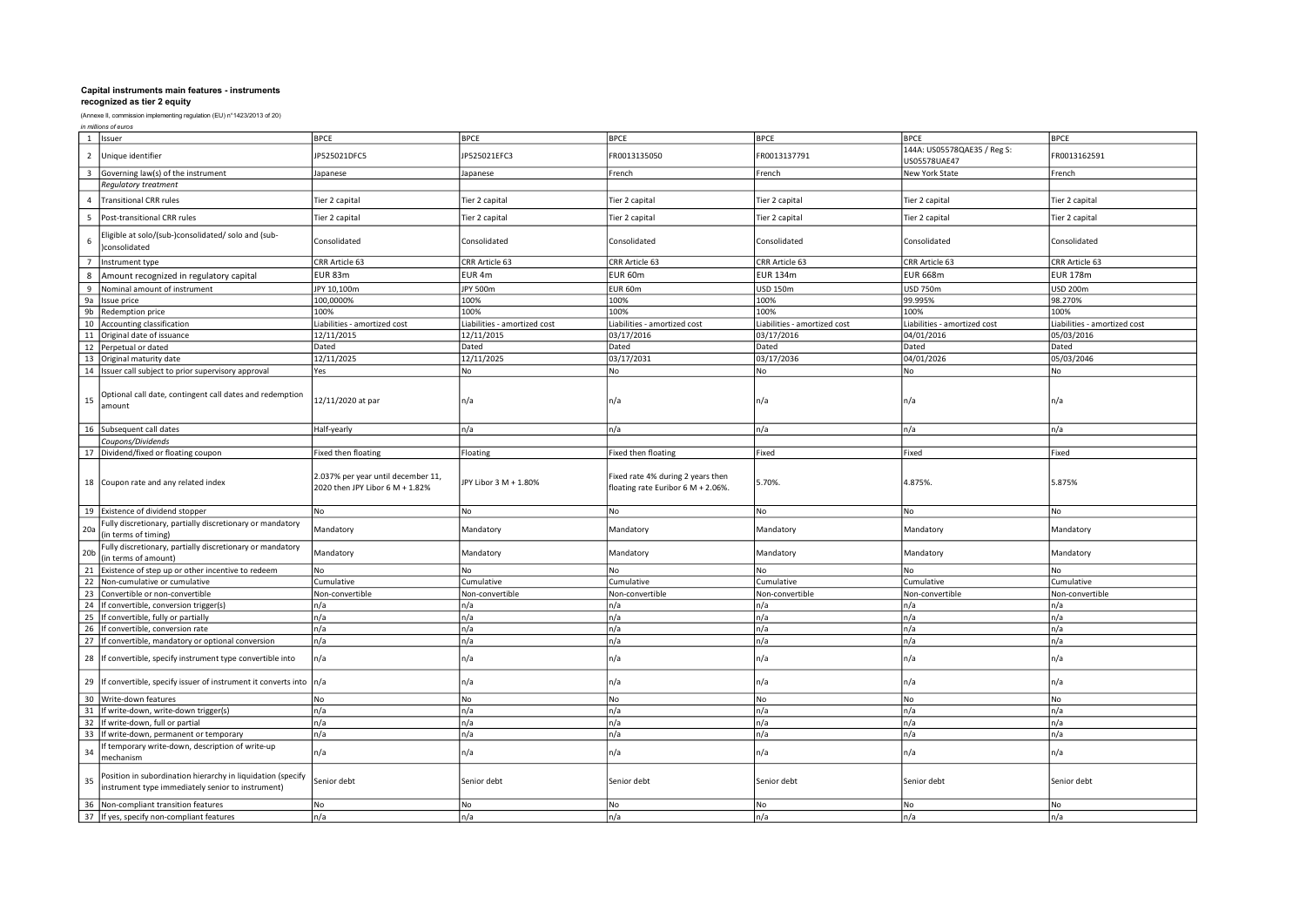| in millions of euros |  |
|----------------------|--|
|----------------------|--|

|                 | 1 Issuer                                                                                                         | <b>BPCE</b>                                                           | <b>BPCE</b>                  | <b>BPCE</b>                                                             | <b>BPCE</b>                  | <b>BPCE</b>                                 | <b>BPCE</b>                  |
|-----------------|------------------------------------------------------------------------------------------------------------------|-----------------------------------------------------------------------|------------------------------|-------------------------------------------------------------------------|------------------------------|---------------------------------------------|------------------------------|
| $\overline{2}$  | Unique identifier                                                                                                | P525021DFC5                                                           | JP525021EFC3                 | FR0013135050                                                            | FR0013137791                 | 144A: US05578QAE35 / Reg S:<br>US05578UAE47 | FR0013162591                 |
| 3               | Governing law(s) of the instrument                                                                               | Japanese                                                              | Japanese                     | French                                                                  | French                       | New York State                              | French                       |
|                 | Regulatory treatment                                                                                             |                                                                       |                              |                                                                         |                              |                                             |                              |
| $\overline{4}$  | <b>Transitional CRR rules</b>                                                                                    | Tier 2 capital                                                        | Tier 2 capital               | Tier 2 capital                                                          | Tier 2 capital               | Tier 2 capital                              | Tier 2 capital               |
| 5               | Post-transitional CRR rules                                                                                      | Tier 2 capital                                                        | Tier 2 capital               | Fier 2 capital                                                          | Tier 2 capital               | Tier 2 capital                              | Tier 2 capital               |
| 6               | Eligible at solo/(sub-)consolidated/ solo and (sub-<br>consolidated                                              | Consolidated                                                          | Consolidated                 | Consolidated                                                            | Consolidated                 | Consolidated                                | Consolidated                 |
| $\overline{7}$  | Instrument type                                                                                                  | CRR Article 63                                                        | CRR Article 63               | CRR Article 63                                                          | CRR Article 63               | CRR Article 63                              | CRR Article 63               |
| 8               | Amount recognized in regulatory capital                                                                          | EUR 83m                                                               | EUR <sub>4m</sub>            | EUR 60m                                                                 | <b>EUR 134m</b>              | <b>EUR 668m</b>                             | <b>EUR 178m</b>              |
| 9               | Nominal amount of instrument                                                                                     | JPY 10,100m                                                           | <b>JPY 500m</b>              | EUR 60m                                                                 | <b>USD 150m</b>              | USD 750m                                    | USD 200m                     |
| 9a              | Issue price                                                                                                      | 100,0000%                                                             | 100%                         | 100%                                                                    | 100%                         | 99.995%                                     | 98.270%                      |
| 9b              | Redemption price                                                                                                 | 100%                                                                  | 100%                         | 100%                                                                    | 100%                         | 100%                                        | 100%                         |
| 10              | Accounting classification                                                                                        | Liabilities - amortized cost                                          | Liabilities - amortized cost | Liabilities - amortized cost                                            | Liabilities - amortized cost | Liabilities - amortized cost                | Liabilities - amortized cost |
| 11              | Original date of issuance                                                                                        | 12/11/2015                                                            | 12/11/2015                   | 03/17/2016                                                              | 03/17/2016                   | 04/01/2016                                  | 05/03/2016                   |
| 12              | Perpetual or dated                                                                                               | Dated                                                                 | Dated                        | Dated                                                                   | Dated                        | Dated                                       | Dated                        |
| 13              | Original maturity date                                                                                           | 12/11/2025                                                            | 12/11/2025                   | 03/17/2031                                                              | 03/17/2036                   | 04/01/2026                                  | 05/03/2046                   |
| 14              | Issuer call subject to prior supervisory approval                                                                | Yes                                                                   | No                           | No                                                                      | No                           | No                                          | No                           |
| 15              | Optional call date, contingent call dates and redemption<br>amount                                               | 12/11/2020 at par                                                     | n/a                          | n/a                                                                     | n/a                          | n/a                                         | n/a                          |
|                 | 16 Subsequent call dates                                                                                         | Half-yearly                                                           | n/a                          | n/a                                                                     | n/a                          | n/a                                         | n/a                          |
|                 | Coupons/Dividends                                                                                                |                                                                       |                              |                                                                         |                              |                                             |                              |
|                 | 17 Dividend/fixed or floating coupon                                                                             | ixed then floating                                                    | Floating                     | <b>Fixed then floating</b>                                              | Fixed                        | Fixed                                       | Fixed                        |
|                 | 18 Coupon rate and any related index                                                                             | 2.037% per year until december 11,<br>2020 then JPY Libor 6 M + 1.82% | JPY Libor 3 M + 1.80%        | Fixed rate 4% during 2 years then<br>floating rate Euribor 6 M + 2.06%. | 5.70%.                       | 4.875%.                                     | 5.875%                       |
| 19              | Existence of dividend stopper                                                                                    | No                                                                    | <b>No</b>                    | No                                                                      | No                           | No                                          | No                           |
| 20a             | Fully discretionary, partially discretionary or mandatory<br>in terms of timing)                                 | Mandatory                                                             | Mandatory                    | Mandatory                                                               | Mandatory                    | Mandatory                                   | Mandatory                    |
| 20 <sub>b</sub> | Fully discretionary, partially discretionary or mandatory<br>in terms of amount)                                 | Mandatory                                                             | Mandatory                    | Mandatory                                                               | Mandatory                    | Mandatory                                   | Mandatory                    |
| 21              | Existence of step up or other incentive to redeem                                                                | No                                                                    | No                           | No                                                                      | <b>No</b>                    | lNo                                         | No                           |
| 22              | Non-cumulative or cumulative                                                                                     | Cumulative                                                            | Cumulative                   | Cumulative                                                              | Cumulative                   | Cumulative                                  | Cumulative                   |
| 23              | Convertible or non-convertible                                                                                   | Non-convertible                                                       | Non-convertible              | Non-convertible                                                         | Non-convertible              | Non-convertible                             | Non-convertible              |
| 24              | If convertible, conversion trigger(s)                                                                            | n/a                                                                   | n/a                          | n/a                                                                     | n/a                          | n/a                                         | n/a                          |
| 25              | If convertible, fully or partially                                                                               | n/a                                                                   | n/a                          | n/a                                                                     | n/a                          | n/a                                         | n/a                          |
| 26              | If convertible, conversion rate                                                                                  | n/a                                                                   | n/a                          | n/a                                                                     | n/a                          | n/a                                         | n/a                          |
| 27              | If convertible, mandatory or optional conversion                                                                 | n/a                                                                   | n/a                          | n/a                                                                     | n/a                          | n/a                                         | n/a                          |
| 28              | If convertible, specify instrument type convertible into                                                         | n/a                                                                   | n/a                          | n/a                                                                     | n/a                          | n/a                                         | n/a                          |
| 29              | If convertible, specify issuer of instrument it converts into n/a                                                |                                                                       | n/a                          | n/a                                                                     | n/a                          | n/a                                         | n/a                          |
| 30 <sup>°</sup> | Write-down features                                                                                              | No                                                                    | No                           | No                                                                      | No                           | No                                          | No                           |
| 31              | If write-down, write-down trigger(s)                                                                             | n/a                                                                   | n/a                          | n/a                                                                     | n/a                          | n/a                                         | n/a                          |
| 32              | If write-down, full or partial                                                                                   | n/a                                                                   | n/a                          | n/a                                                                     | n/a                          | n/a                                         | n/a                          |
| 33              | If write-down, permanent or temporary                                                                            | n/a                                                                   | n/a                          | n/a                                                                     | n/a                          | n/a                                         | n/a                          |
| 34              | f temporary write-down, description of write-up<br>mechanism                                                     | n/a                                                                   | n/a                          | n/a                                                                     | n/a                          | n/a                                         | n/a                          |
| 35              | Position in subordination hierarchy in liquidation (specify<br>instrument type immediately senior to instrument) | Senior debt                                                           | Senior debt                  | Senior debt                                                             | Senior debt                  | Senior debt                                 | Senior debt                  |
| 36              | Non-compliant transition features                                                                                | No                                                                    | No                           | No                                                                      | No                           | No                                          | No                           |
|                 | 37 If yes, specify non-compliant features                                                                        | n/a                                                                   | n/a                          | n/a                                                                     | n/a                          | n/a                                         | n/a                          |